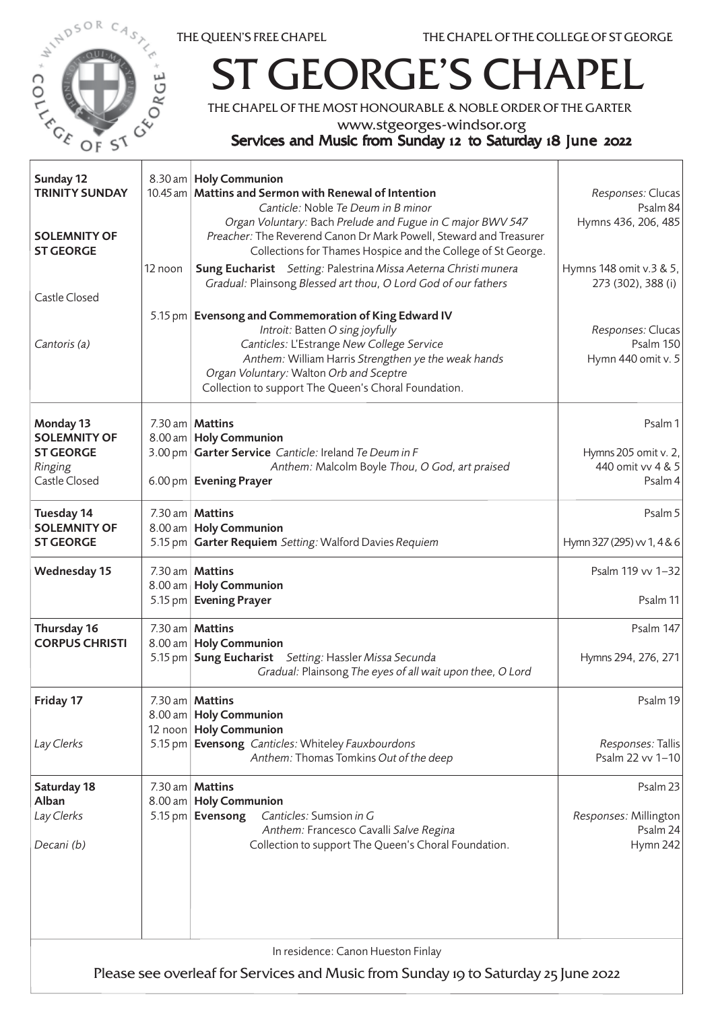



## ST GEORGE'S CHAPEL

THE CHAPEL OF THE MOST HONOURABLE & NOBLE ORDER OF THE GARTER

www.stgeorges-windsor.org

## Services and Music from Sunday 12 to Saturday 18 June 2022

| Sunday 12<br><b>TRINITY SUNDAY</b><br><b>SOLEMNITY OF</b><br><b>ST GEORGE</b>                                            | 12 noon | 8.30 am   Holy Communion<br>10.45 am   Mattins and Sermon with Renewal of Intention<br>Canticle: Noble Te Deum in B minor<br>Organ Voluntary: Bach Prelude and Fugue in C major BWV 547<br>Preacher: The Reverend Canon Dr Mark Powell, Steward and Treasurer<br>Collections for Thames Hospice and the College of St George.<br>Sung Eucharist Setting: Palestrina Missa Aeterna Christi munera<br>Gradual: Plainsong Blessed art thou, O Lord God of our fathers | Responses: Clucas<br>Psalm 84<br>Hymns 436, 206, 485<br>Hymns 148 omit v.3 & 5,<br>273 (302), 388 (i) |  |  |
|--------------------------------------------------------------------------------------------------------------------------|---------|--------------------------------------------------------------------------------------------------------------------------------------------------------------------------------------------------------------------------------------------------------------------------------------------------------------------------------------------------------------------------------------------------------------------------------------------------------------------|-------------------------------------------------------------------------------------------------------|--|--|
| Castle Closed<br>Cantoris (a)                                                                                            |         | 5.15 pm   Evensong and Commemoration of King Edward IV<br>Introit: Batten O sing joyfully<br>Canticles: L'Estrange New College Service<br>Anthem: William Harris Strengthen ye the weak hands<br>Organ Voluntary: Walton Orb and Sceptre<br>Collection to support The Queen's Choral Foundation.                                                                                                                                                                   | Responses: Clucas<br><b>Psalm 150</b><br>Hymn 440 omit v. 5                                           |  |  |
| Monday 13<br><b>SOLEMNITY OF</b><br><b>ST GEORGE</b><br>Ringing<br>Castle Closed                                         |         | 7.30 am   <b>Mattins</b><br>8.00 am   Holy Communion<br>3.00 pm Garter Service Canticle: Ireland Te Deum in F<br>Anthem: Malcolm Boyle Thou, O God, art praised<br>6.00 pm Evening Prayer                                                                                                                                                                                                                                                                          | Psalm 1<br>Hymns 205 omit v. 2,<br>440 omit vv 4 & 5<br>Psalm 4                                       |  |  |
| Tuesday 14<br><b>SOLEMNITY OF</b><br><b>ST GEORGE</b>                                                                    |         | 7.30 am   Mattins<br>8.00 am   Holy Communion<br>5.15 pm Garter Requiem Setting: Walford Davies Requiem                                                                                                                                                                                                                                                                                                                                                            | Psalm 5<br>Hymn 327 (295) w 1, 4 & 6                                                                  |  |  |
| <b>Wednesday 15</b>                                                                                                      |         | 7.30 am   Mattins<br>8.00 am   Holy Communion<br>5.15 pm   Evening Prayer                                                                                                                                                                                                                                                                                                                                                                                          | Psalm 119 vv 1-32<br>Psalm 11                                                                         |  |  |
| Thursday 16<br><b>CORPUS CHRISTI</b>                                                                                     |         | 7.30 am   Mattins<br>8.00 am   Holy Communion<br>5.15 pm   Sung Eucharist Setting: Hassler Missa Secunda<br>Gradual: Plainsong The eyes of all wait upon thee, O Lord                                                                                                                                                                                                                                                                                              | Psalm 147<br>Hymns 294, 276, 271                                                                      |  |  |
| Friday 17                                                                                                                |         | $7.30$ am   <b>Mattins</b><br>8.00 am   Holy Communion<br>12 noon   Holy Communion                                                                                                                                                                                                                                                                                                                                                                                 | Psalm 19                                                                                              |  |  |
| Lay Clerks                                                                                                               |         | 5.15 pm Evensong Canticles: Whiteley Fauxbourdons<br>Anthem: Thomas Tomkins Out of the deep                                                                                                                                                                                                                                                                                                                                                                        | Responses: Tallis<br>Psalm 22 vv 1-10                                                                 |  |  |
| Saturday 18<br>Alban<br>Lay Clerks<br>Decani (b)                                                                         | 8.00 am | 7.30 am   Mattins<br><b>Holy Communion</b><br>Canticles: Sumsion in G<br>5.15 pm Evensong<br>Anthem: Francesco Cavalli Salve Regina<br>Collection to support The Queen's Choral Foundation.                                                                                                                                                                                                                                                                        | Psalm 23<br>Responses: Millington<br>Psalm 24<br>Hymn 242                                             |  |  |
| In residence: Canon Hueston Finlay<br>Please see overleaf for Services and Music from Sunday 19 to Saturday 25 June 2022 |         |                                                                                                                                                                                                                                                                                                                                                                                                                                                                    |                                                                                                       |  |  |